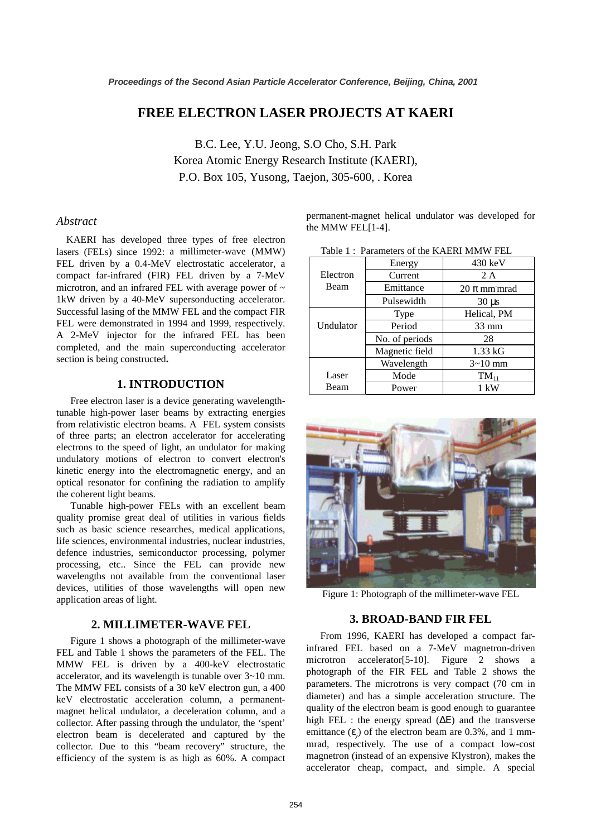# **FREE ELECTRON LASER PROJECTS AT KAERI**

B.C. Lee, Y.U. Jeong, S.O Cho, S.H. Park Korea Atomic Energy Research Institute (KAERI), P.O. Box 105, Yusong, Taejon, 305-600, . Korea

# *Abstract*

KAERI has developed three types of free electron lasers (FELs) since 1992: a millimeter-wave (MMW) FEL driven by a 0.4-MeV electrostatic accelerator, a compact far-infrared (FIR) FEL driven by a 7-MeV microtron, and an infrared FEL with average power of  $\sim$ 1kW driven by a 40-MeV supersonducting accelerator. Successful lasing of the MMW FEL and the compact FIR FEL were demonstrated in 1994 and 1999, respectively. A 2-MeV injector for the infrared FEL has been completed, and the main superconducting accelerator section is being constructed**.** 

## **1. INTRODUCTION**

Free electron laser is a device generating wavelengthtunable high-power laser beams by extracting energies from relativistic electron beams. A FEL system consists of three parts; an electron accelerator for accelerating electrons to the speed of light, an undulator for making undulatory motions of electron to convert electron's kinetic energy into the electromagnetic energy, and an optical resonator for confining the radiation to amplify the coherent light beams.

Tunable high-power FELs with an excellent beam quality promise great deal of utilities in various fields such as basic science researches, medical applications, life sciences, environmental industries, nuclear industries, defence industries, semiconductor processing, polymer processing, etc.. Since the FEL can provide new wavelengths not available from the conventional laser devices, utilities of those wavelengths will open new application areas of light.

## **2. MILLIMETER-WAVE FEL**

Figure 1 shows a photograph of the millimeter-wave FEL and Table 1 shows the parameters of the FEL. The MMW FEL is driven by a 400-keV electrostatic accelerator, and its wavelength is tunable over 3~10 mm. The MMW FEL consists of a 30 keV electron gun, a 400 keV electrostatic acceleration column, a permanentmagnet helical undulator, a deceleration column, and a collector. After passing through the undulator, the 'spent' electron beam is decelerated and captured by the collector. Due to this "beam recovery" structure, the efficiency of the system is as high as 60%. A compact permanent-magnet helical undulator was developed for the MMW FEL[1-4].

|           | Energy         | $430 \text{ keV}$ |  |  |
|-----------|----------------|-------------------|--|--|
| Electron  | Current        | 2 A               |  |  |
| Beam      | Emittance      | $20 \pi$ mm mrad  |  |  |
|           | Pulsewidth     | $30 \mu s$        |  |  |
|           | Type           | Helical, PM       |  |  |
| Undulator | Period         | $33 \text{ mm}$   |  |  |
|           | No. of periods | 28                |  |  |
|           | Magnetic field | $1.33 \text{ kG}$ |  |  |
|           | Wavelength     | $3 - 10$ mm       |  |  |
| Laser     | Mode           | $TM_{11}$         |  |  |
| Beam      | Power          | $1 \text{ kW}$    |  |  |

Table  $1 \cdot$  Parameters of the KAERI MMW FEL.



Figure 1: Photograph of the millimeter-wave FEL

#### **3. BROAD-BAND FIR FEL**

From 1996, KAERI has developed a compact farinfrared FEL based on a 7-MeV magnetron-driven microtron accelerator[5-10]. Figure 2 shows a photograph of the FIR FEL and Table 2 shows the parameters. The microtrons is very compact (70 cm in diameter) and has a simple acceleration structure. The quality of the electron beam is good enough to guarantee high FEL : the energy spread  $(ΔE)$  and the transverse emittance (ε*<sup>y</sup>* ) of the electron beam are 0.3%, and 1 mmmrad, respectively. The use of a compact low-cost magnetron (instead of an expensive Klystron), makes the accelerator cheap, compact, and simple. A special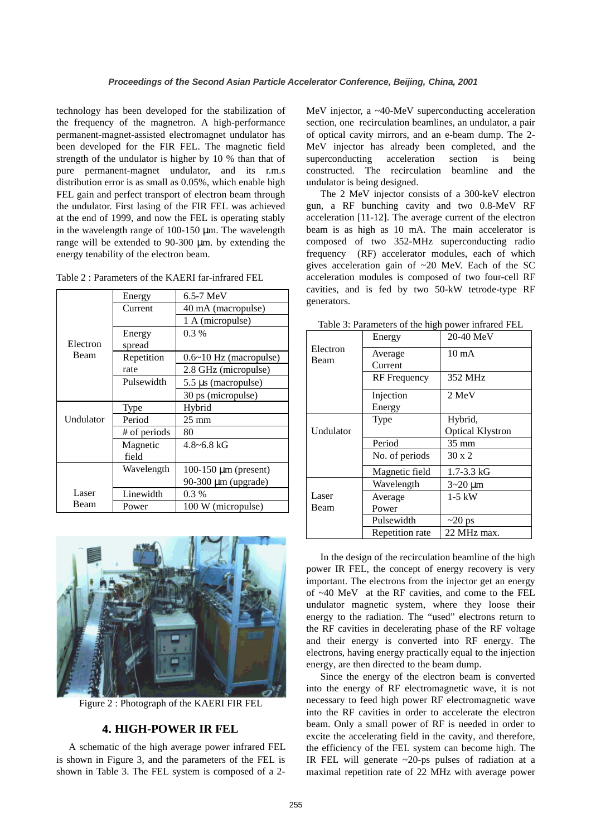technology has been developed for the stabilization of the frequency of the magnetron. A high-performance permanent-magnet-assisted electromagnet undulator has been developed for the FIR FEL. The magnetic field strength of the undulator is higher by 10 % than that of pure permanent-magnet undulator, and its r.m.s distribution error is as small as 0.05%, which enable high FEL gain and perfect transport of electron beam through the undulator. First lasing of the FIR FEL was achieved at the end of 1999, and now the FEL is operating stably in the wavelength range of 100-150 µm. The wavelength range will be extended to 90-300 µm. by extending the energy tenability of the electron beam.

|           | Energy       | $6.5-7$ MeV               |
|-----------|--------------|---------------------------|
|           | Current      | 40 mA (macropulse)        |
|           |              | 1 A (micropulse)          |
|           | Energy       | $0.3\%$                   |
| Electron  | spread       |                           |
| Beam      | Repetition   | $0.6~10$ Hz (macropulse)  |
|           | rate         | 2.8 GHz (micropulse)      |
|           | Pulsewidth   | 5.5 µs (macropulse)       |
|           |              | 30 ps (micropulse)        |
|           | <b>Type</b>  | Hybrid                    |
| Undulator | Period       | $25 \text{ mm}$           |
|           | # of periods | 80                        |
|           | Magnetic     | $4.8 - 6.8$ kG            |
|           | field        |                           |
|           | Wavelength   | $100-150 \mu m$ (present) |
|           |              | 90-300 µm (upgrade)       |
| Laser     | Linewidth    | $0.3\%$                   |
| Beam      | Power        | 100 W (micropulse)        |

Table 2 : Parameters of the KAERI far-infrared FEL



Figure 2 : Photograph of the KAERI FIR FEL

# **4. HIGH-POWER IR FEL**

A schematic of the high average power infrared FEL is shown in Figure 3, and the parameters of the FEL is shown in Table 3. The FEL system is composed of a 2MeV injector, a ~40-MeV superconducting acceleration section, one recirculation beamlines, an undulator, a pair of optical cavity mirrors, and an e-beam dump. The 2- MeV injector has already been completed, and the superconducting acceleration section is being constructed. The recirculation beamline and the undulator is being designed.

The 2 MeV injector consists of a 300-keV electron gun, a RF bunching cavity and two 0.8-MeV RF acceleration [11-12]. The average current of the electron beam is as high as 10 mA. The main accelerator is composed of two 352-MHz superconducting radio frequency (RF) accelerator modules, each of which gives acceleration gain of ~20 MeV. Each of the SC acceleration modules is composed of two four-cell RF cavities, and is fed by two 50-kW tetrode-type RF generators.

|           | Energy              | 20-40 MeV               |
|-----------|---------------------|-------------------------|
| Electron  | Average             | $10 \text{ mA}$         |
| Beam      | Current             |                         |
|           | <b>RF</b> Frequency | 352 MHz                 |
|           | Injection           | $2 \text{ MeV}$         |
|           | Energy              |                         |
|           | Type                | Hybrid,                 |
| Undulator |                     | <b>Optical Klystron</b> |
|           | Period              | $35 \text{ mm}$         |
|           | No. of periods      | $30 \times 2$           |
|           | Magnetic field      | $1.7 - 3.3$ kG          |
|           | Wavelength          | $3 - 20 \mu m$          |
| Laser     | Average             | $1-5$ kW                |
| Beam      | Power               |                         |
|           | Pulsewidth          | $\sim$ 20 ps            |
|           | Repetition rate     | 22 MHz max.             |

Table 3: Parameters of the high power infrared FEL

In the design of the recirculation beamline of the high power IR FEL, the concept of energy recovery is very important. The electrons from the injector get an energy of ~40 MeV at the RF cavities, and come to the FEL undulator magnetic system, where they loose their energy to the radiation. The "used" electrons return to the RF cavities in decelerating phase of the RF voltage and their energy is converted into RF energy. The electrons, having energy practically equal to the injection energy, are then directed to the beam dump.

Since the energy of the electron beam is converted into the energy of RF electromagnetic wave, it is not necessary to feed high power RF electromagnetic wave into the RF cavities in order to accelerate the electron beam. Only a small power of RF is needed in order to excite the accelerating field in the cavity, and therefore, the efficiency of the FEL system can become high. The IR FEL will generate ~20-ps pulses of radiation at a maximal repetition rate of 22 MHz with average power